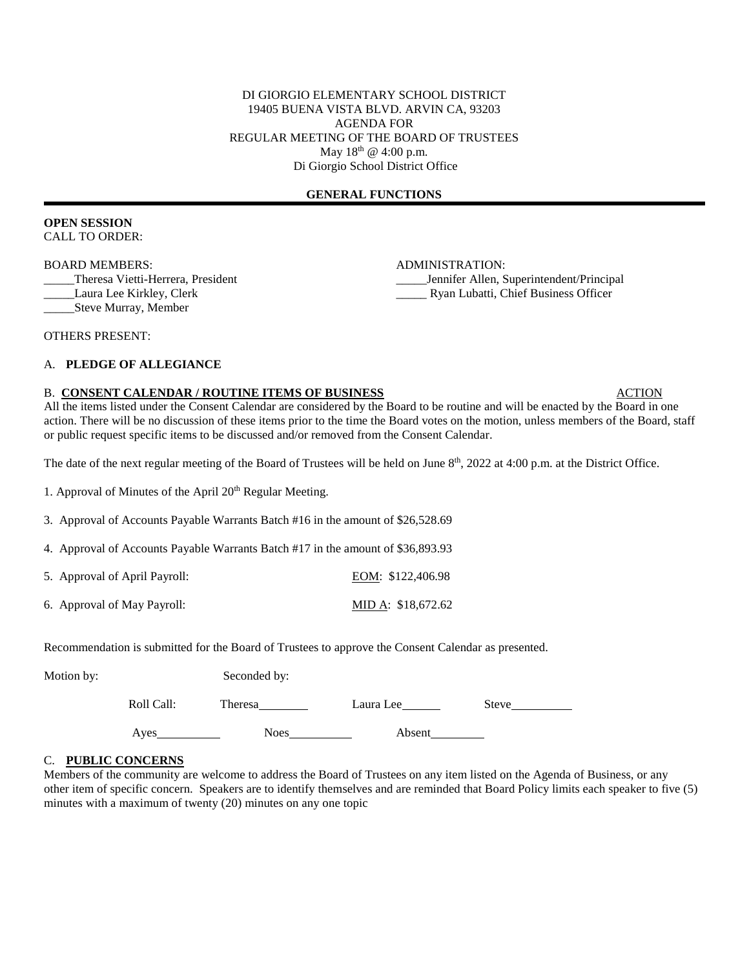### DI GIORGIO ELEMENTARY SCHOOL DISTRICT 19405 BUENA VISTA BLVD. ARVIN CA, 93203 AGENDA FOR REGULAR MEETING OF THE BOARD OF TRUSTEES May 18<sup>th</sup> @ 4:00 p.m. Di Giorgio School District Office

### **GENERAL FUNCTIONS**

### **OPEN SESSION** CALL TO ORDER:

BOARD MEMBERS: ADMINISTRATION:

\_\_\_\_\_Theresa Vietti-Herrera, President \_\_\_\_\_Jennifer Allen, Superintendent/Principal \_\_\_\_\_Laura Lee Kirkley, Clerk \_\_\_\_\_ Ryan Lubatti, Chief Business Officer

\_\_\_\_\_Steve Murray, Member

OTHERS PRESENT:

# A. **PLEDGE OF ALLEGIANCE**

#### B. CONSENT CALENDAR / ROUTINE ITEMS OF BUSINESS ACTION

All the items listed under the Consent Calendar are considered by the Board to be routine and will be enacted by the Board in one action. There will be no discussion of these items prior to the time the Board votes on the motion, unless members of the Board, staff or public request specific items to be discussed and/or removed from the Consent Calendar.

The date of the next regular meeting of the Board of Trustees will be held on June  $8<sup>th</sup>$ , 2022 at 4:00 p.m. at the District Office.

1. Approval of Minutes of the April  $20<sup>th</sup>$  Regular Meeting.

3. Approval of Accounts Payable Warrants Batch #16 in the amount of \$26,528.69

4. Approval of Accounts Payable Warrants Batch #17 in the amount of \$36,893.93

5. Approval of April Payroll: EOM: \$122,406.98

6. Approval of May Payroll: MID A: \$18,672.62

Recommendation is submitted for the Board of Trustees to approve the Consent Calendar as presented.

| Motion by: | Seconded by: |
|------------|--------------|
|            |              |

| Roll Call: | Theresa | Laura Lee | Steve |
|------------|---------|-----------|-------|
| Ayes       | Noes    | Absent    |       |

### C. **PUBLIC CONCERNS**

Members of the community are welcome to address the Board of Trustees on any item listed on the Agenda of Business, or any other item of specific concern. Speakers are to identify themselves and are reminded that Board Policy limits each speaker to five (5) minutes with a maximum of twenty (20) minutes on any one topic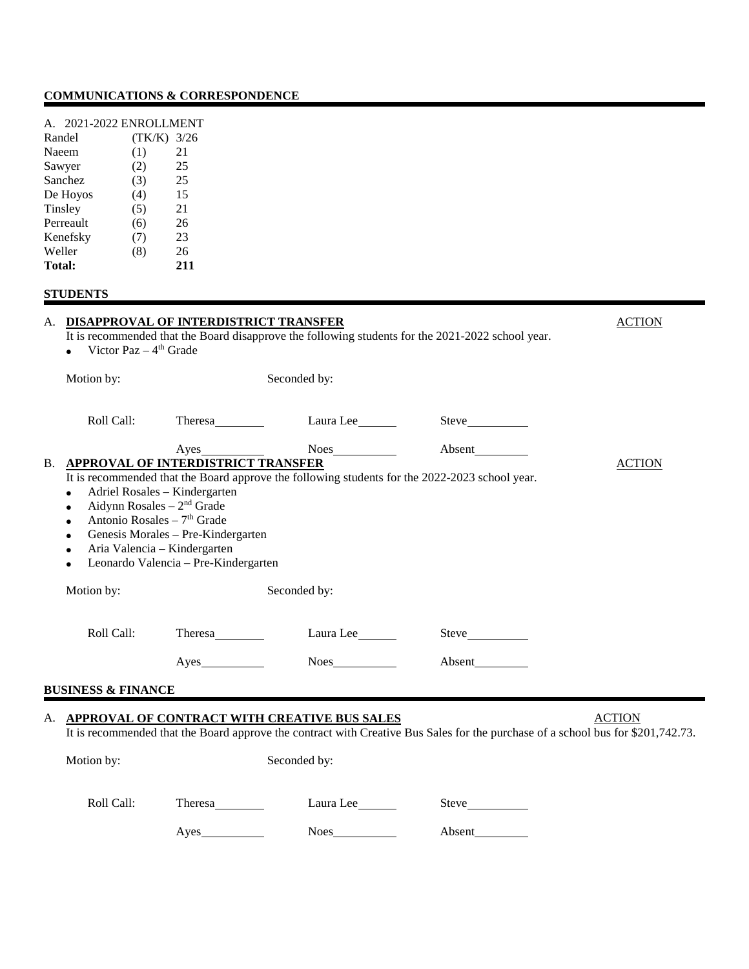# **COMMUNICATIONS & CORRESPONDENCE**

| 2021-2022 ENROLLMENT<br>$\mathsf{A}$ |        |      |
|--------------------------------------|--------|------|
| Randel                               | (TK/K) | 3/26 |
| Naeem                                | (1)    | 21   |
| Sawyer                               | (2)    | 25   |
| Sanchez                              | (3)    | 25   |
| De Hoyos                             | (4)    | 15   |
| Tinsley                              | (5)    | 21   |
| Perreault                            | (6)    | 26   |
| Kenefsky                             | (7)    | 23   |
| Weller                               | (8)    | 26   |
| <b>Total:</b>                        |        | 211  |

# **STUDENTS**

|                                                                                                                                                                                                                                                             | A. DISAPPROVAL OF INTERDISTRICT TRANSFER<br>It is recommended that the Board disapprove the following students for the 2021-2022 school year.<br>Victor Paz $-4$ <sup>th</sup> Grade |                                                                                                |                                                                                                                                  |               |
|-------------------------------------------------------------------------------------------------------------------------------------------------------------------------------------------------------------------------------------------------------------|--------------------------------------------------------------------------------------------------------------------------------------------------------------------------------------|------------------------------------------------------------------------------------------------|----------------------------------------------------------------------------------------------------------------------------------|---------------|
| Motion by:                                                                                                                                                                                                                                                  |                                                                                                                                                                                      | Seconded by:                                                                                   |                                                                                                                                  |               |
| Roll Call:                                                                                                                                                                                                                                                  | Theresa_                                                                                                                                                                             | Laura Lee                                                                                      |                                                                                                                                  |               |
| <b>B. APPROVAL OF INTERDISTRICT TRANSFER</b><br>Adriel Rosales - Kindergarten<br>$\bullet$<br>Aidynn Rosales $-2nd$ Grade<br>$\bullet$<br>Antonio Rosales – $7th$ Grade<br>$\bullet$<br>$\bullet$<br>Aria Valencia - Kindergarten<br>$\bullet$<br>$\bullet$ | Genesis Morales - Pre-Kindergarten<br>Leonardo Valencia - Pre-Kindergarten                                                                                                           | It is recommended that the Board approve the following students for the 2022-2023 school year. |                                                                                                                                  | <b>ACTION</b> |
| Motion by:                                                                                                                                                                                                                                                  |                                                                                                                                                                                      | Seconded by:                                                                                   |                                                                                                                                  |               |
| Roll Call:                                                                                                                                                                                                                                                  | Theresa                                                                                                                                                                              | Laura Lee                                                                                      |                                                                                                                                  |               |
|                                                                                                                                                                                                                                                             |                                                                                                                                                                                      |                                                                                                | Absent                                                                                                                           |               |
| <b>BUSINESS &amp; FINANCE</b>                                                                                                                                                                                                                               |                                                                                                                                                                                      |                                                                                                |                                                                                                                                  |               |
|                                                                                                                                                                                                                                                             |                                                                                                                                                                                      | A. APPROVAL OF CONTRACT WITH CREATIVE BUS SALES                                                | It is recommended that the Board approve the contract with Creative Bus Sales for the purchase of a school bus for \$201,742.73. | <b>ACTION</b> |
| Motion by:                                                                                                                                                                                                                                                  |                                                                                                                                                                                      | Seconded by:                                                                                   |                                                                                                                                  |               |
| Roll Call:                                                                                                                                                                                                                                                  | Theresa                                                                                                                                                                              | Laura Lee                                                                                      |                                                                                                                                  |               |
|                                                                                                                                                                                                                                                             | Ayes                                                                                                                                                                                 | Noes                                                                                           | Absent                                                                                                                           |               |